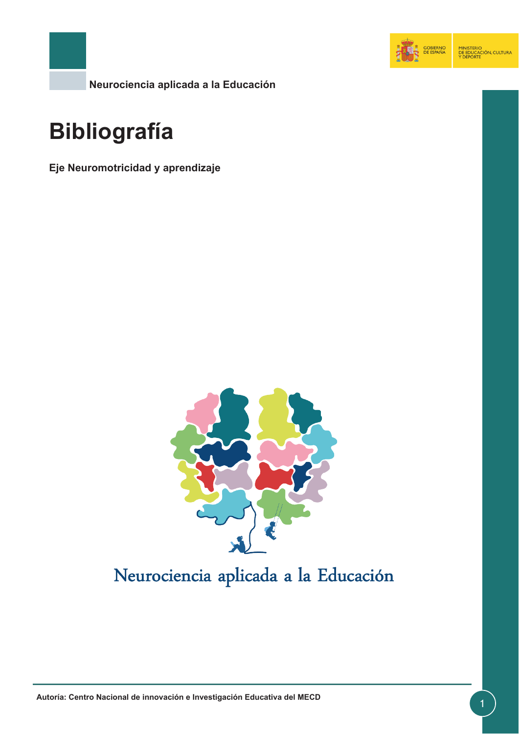

**Neurociencia aplicada a la Educación**

# **Bibliografía**

**Eje Neuromotricidad y aprendizaje**



## Neurociencia aplicada a la Educación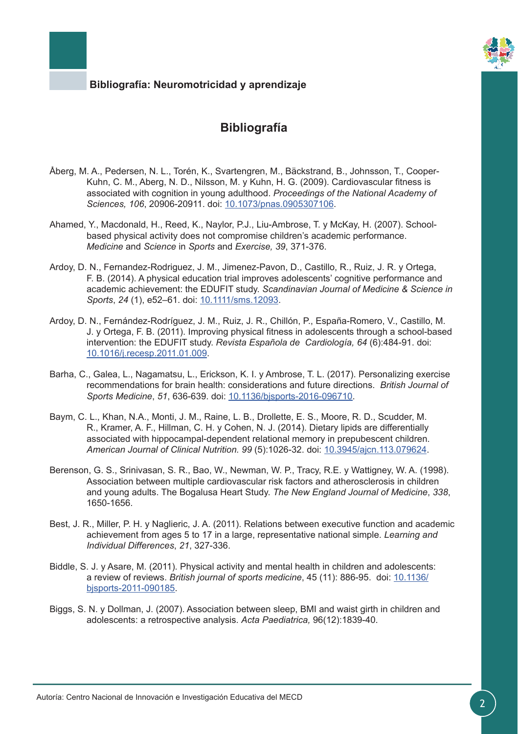

### **Bibliografía**

- Åberg, M. A., Pedersen, N. L., Torén, K., Svartengren, M., Bäckstrand, B., Johnsson, T., Cooper-Kuhn, C. M., Aberg, N. D., Nilsson, M. y Kuhn, H. G. (2009). Cardiovascular fitness is associated with cognition in young adulthood. *Proceedings of the National Academy of Sciences, 106*, 20906-20911. doi: [10.1073/pnas.0905307106.](http://www.pnas.org/content/106/49/20906)
- Ahamed, Y., Macdonald, H., Reed, K., Naylor, P.J., Liu-Ambrose, T. y McKay, H. (2007). Schoolbased physical activity does not compromise children's academic performance. *Medicine* and *Science* in *Sports* and *Exercise, 39*, 371-376.
- Ardoy, D. N., Fernandez-Rodriguez, J. M., Jimenez-Pavon, D., Castillo, R., Ruiz, J. R. y Ortega, F. B. (2014). A physical education trial improves adolescents' cognitive performance and academic achievement: the EDUFIT study. *Scandinavian Journal of Medicine & Science in Sports*, *24* (1), e52–61. doi: [10.1111/sms.12093](http://onlinelibrary.wiley.com/doi/10.1111/sms.12093/abstract).
- Ardoy, D. N., Fernández-Rodríguez, J. M., Ruiz, J. R., Chillón, P., España-Romero, V., Castillo, M. J. y Ortega, F. B. (2011). Improving physical fitness in adolescents through a school-based intervention: the EDUFIT study. *Revista Española de Cardiología, 64* (6):484-91. doi: [10.1016/j.recesp.2011.01.009.](http://linkinghub.elsevier.com/retrieve/pii/S0300893211003149)
- Barha, C., Galea, L., Nagamatsu, L., Erickson, K. I. y Ambrose, T. L. (2017). Personalizing exercise recommendations for brain health: considerations and future directions. *British Journal of Sports Medicine*, *51*, 636-639. doi: [10.1136/bjsports-2016-096710](http://bjsm.bmj.com/content/51/8/636).
- Baym, C. L., Khan, N.A., Monti, J. M., Raine, L. B., Drollette, E. S., Moore, R. D., Scudder, M. R., Kramer, A. F., Hillman, C. H. y Cohen, N. J. (2014). Dietary lipids are differentially associated with hippocampal-dependent relational memory in prepubescent children. *American Journal of Clinical Nutrition. 99* (5):1026-32. doi: [10.3945/ajcn.113.079624.](http://ajcn.nutrition.org/content/99/5/1026)
- Berenson, G. S., Srinivasan, S. R., Bao, W., Newman, W. P., Tracy, R.E. y Wattigney, W. A. (1998). Association between multiple cardiovascular risk factors and atherosclerosis in children and young adults. The Bogalusa Heart Study. *The New England Journal of Medicine*, *338*, 1650-1656.
- Best, J. R., Miller, P. H. y Naglieric, J. A. (2011). Relations between executive function and academic achievement from ages 5 to 17 in a large, representative national simple. *Learning and Individual Differences*, *21*, 327-336.
- Biddle, S. J. y Asare, M. (2011). Physical activity and mental health in children and adolescents: a review of reviews. *British journal of sports medicine*, 45 (11): 886-95. doi: [10.1136/](http://bjsm.bmj.com/content/45/11/886) [bjsports-2011-090185.](http://bjsm.bmj.com/content/45/11/886)
- Biggs, S. N. y Dollman, J. (2007). Association between sleep, BMI and waist girth in children and adolescents: a retrospective analysis. *Acta Paediatrica,* 96(12):1839-40.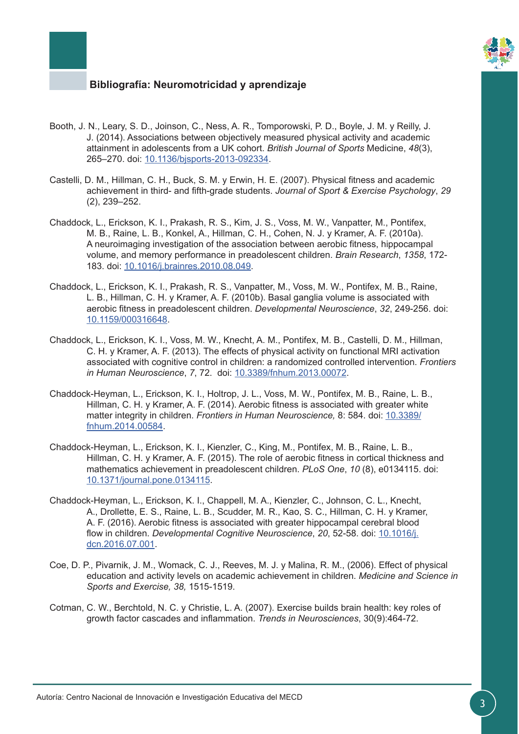

- Booth, J. N., Leary, S. D., Joinson, C., Ness, A. R., Tomporowski, P. D., Boyle, J. M. y Reilly, J. J. (2014). Associations between objectively measured physical activity and academic attainment in adolescents from a UK cohort. *British Journal of Sports* Medicine, *48*(3), 265–270. doi: [10.1136/bjsports-2013-092334](http://bjsm.bmj.com/content/48/3/265).
- Castelli, D. M., Hillman, C. H., Buck, S. M. y Erwin, H. E. (2007). Physical fitness and academic achievement in third- and fifth-grade students. *Journal of Sport & Exercise Psychology*, *29* (2), 239–252.
- Chaddock, L., Erickson, K. I., Prakash, R. S., Kim, J. S., Voss, M. W., Vanpatter, M., Pontifex, M. B., Raine, L. B., Konkel, A., Hillman, C. H., Cohen, N. J. y Kramer, A. F. (2010a). A neuroimaging investigation of the association between aerobic fitness, hippocampal volume, and memory performance in preadolescent children. *Brain Research*, *1358*, 172- 183. doi: [10.1016/j.brainres.2010.08.049.](http://linkinghub.elsevier.com/retrieve/pii/S0006899310018317)
- Chaddock, L., Erickson, K. I., Prakash, R. S., Vanpatter, M., Voss, M. W., Pontifex, M. B., Raine, L. B., Hillman, C. H. y Kramer, A. F. (2010b). Basal ganglia volume is associated with aerobic fitness in preadolescent children. *Developmental Neuroscience*, *32*, 249-256. doi: [10.1159/000316648](https://www.karger.com/Article/Abstract/316648).
- Chaddock, L., Erickson, K. I., Voss, M. W., Knecht, A. M., Pontifex, M. B., Castelli, D. M., Hillman, C. H. y Kramer, A. F. (2013). The effects of physical activity on functional MRI activation associated with cognitive control in children: a randomized controlled intervention. *Frontiers in Human Neuroscience*, *7*, 72. doi: [10.3389/fnhum.2013.00072.](https://www.frontiersin.org/articles/10.3389/fnhum.2013.00072/full)
- Chaddock-Heyman, L., Erickson, K. I., Holtrop, J. L., Voss, M. W., Pontifex, M. B., Raine, L. B., Hillman, C. H. y Kramer, A. F. (2014). Aerobic fitness is associated with greater white matter integrity in children. *Frontiers in Human Neuroscience,* 8: 584. doi: [10.3389/](https://www.frontiersin.org/articles/10.3389/fnhum.2014.00584/full) [fnhum.2014.00584.](https://www.frontiersin.org/articles/10.3389/fnhum.2014.00584/full)
- Chaddock-Heyman, L., Erickson, K. I., Kienzler, C., King, M., Pontifex, M. B., Raine, L. B., Hillman, C. H. y Kramer, A. F. (2015). The role of aerobic fitness in cortical thickness and mathematics achievement in preadolescent children. *PLoS One*, *10* (8), e0134115. doi: [10.1371/journal.pone.0134115](http://journals.plos.org/plosone/article?id=10.1371/journal.pone.0134115).
- Chaddock-Heyman, L., Erickson, K. I., Chappell, M. A., Kienzler, C., Johnson, C. L., Knecht, A., Drollette, E. S., Raine, L. B., Scudder, M. R., Kao, S. C., Hillman, C. H. y Kramer, A. F. (2016). Aerobic fitness is associated with greater hippocampal cerebral blood flow in children. *Developmental Cognitive Neuroscience*, *20*, 52-58. doi: [10.1016/j.](http://www.sciencedirect.com/science/article/pii/S1878929315300773?via%3Dihub) [dcn.2016.07.001.](http://www.sciencedirect.com/science/article/pii/S1878929315300773?via%3Dihub)
- Coe, D. P., Pivarnik, J. M., Womack, C. J., Reeves, M. J. y Malina, R. M., (2006). Effect of physical education and activity levels on academic achievement in children. *Medicine and Science in Sports and Exercise, 38,* 1515-1519.
- Cotman, C. W., Berchtold, N. C. y Christie, L. A. (2007). Exercise builds brain health: key roles of growth factor cascades and inflammation. *Trends in Neurosciences*, 30(9):464-72.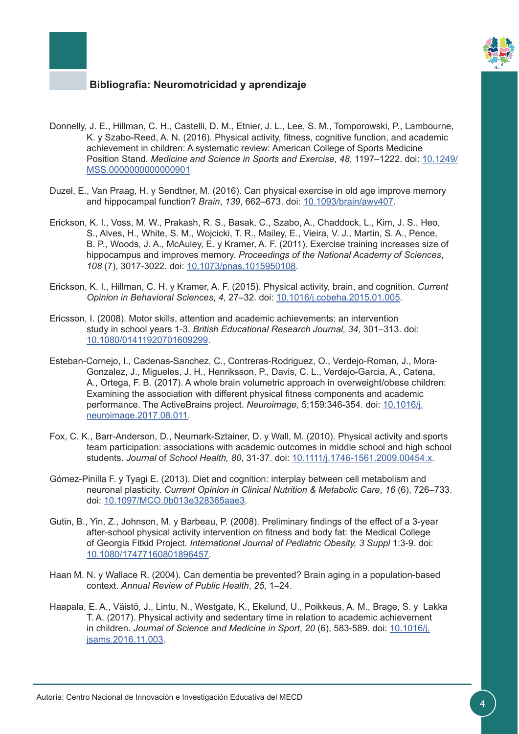

- Donnelly, J. E., Hillman, C. H., Castelli, D. M., Etnier, J. L., Lee, S. M., Tomporowski, P., Lambourne, K. y Szabo-Reed, A. N. (2016). Physical activity, fitness, cognitive function, and academic achievement in children: A systematic review: American College of Sports Medicine Position Stand. *Medicine and Science in Sports and Exercise*, *48*, 1197–1222. doi: [10.1249/](http://journals.lww.com/acsm-msse/pages/articleviewer.aspx?year=2016&issue=06000&article=00027&type=abstract) [MSS.0000000000000901](http://journals.lww.com/acsm-msse/pages/articleviewer.aspx?year=2016&issue=06000&article=00027&type=abstract)
- Duzel, E., Van Praag, H. y Sendtner, M. (2016). Can physical exercise in old age improve memory and hippocampal function? *Brain*, *139*, 662–673. doi: [10.1093/brain/awv407](https://academic.oup.com/brain/article-lookup/doi/10.1093/brain/awv407).
- Erickson, K. I., Voss, M. W., Prakash, R. S., Basak, C., Szabo, A., Chaddock, L., Kim, J. S., Heo, S., Alves, H., White, S. M., Wojcicki, T. R., Mailey, E., Vieira, V. J., Martin, S. A., Pence, B. P., Woods, J. A., McAuley, E. y Kramer, A. F. (2011). Exercise training increases size of hippocampus and improves memory. *Proceedings of the National Academy of Sciences*, *108* (7), 3017-3022. doi: [10.1073/pnas.1015950108](http://www.pnas.org/content/108/7/3017).
- Erickson, K. I., Hillman, C. H. y Kramer, A. F. (2015). Physical activity, brain, and cognition. *Current Opinion in Behavioral Sciences*, *4*, 27–32. doi: [10.1016/j.cobeha.2015.01.005.](http://www.sciencedirect.com/science/article/pii/S2352154615000157?via%3Dihub)
- Ericsson, I. (2008). Motor skills, attention and academic achievements: an intervention study in school years 1-3. *British Educational Research Journal, 34,* 301–313. doi: [10.1080/01411920701609299.](http://onlinelibrary.wiley.com/doi/10.1080/01411920701609299/abstract)
- Esteban-Cornejo, I., Cadenas-Sanchez, C., Contreras-Rodriguez, O., Verdejo-Roman, J., Mora-Gonzalez, J., Migueles, J. H., Henriksson, P., Davis, C. L., Verdejo-Garcia, A., Catena, A., Ortega, F. B. (2017). A whole brain volumetric approach in overweight/obese children: Examining the association with different physical fitness components and academic performance. The ActiveBrains project. *Neuroimage*, 5;159:346-354. doi: [10.1016/j.](http://www.sciencedirect.com/science/article/pii/S1053811917306584?via%3Dihub) [neuroimage.2017.08.011](http://www.sciencedirect.com/science/article/pii/S1053811917306584?via%3Dihub).
- Fox, C. K., Barr-Anderson, D., Neumark-Sztainer, D. y Wall, M. (2010). Physical activity and sports team participation: associations with academic outcomes in middle school and high school students. *Journal* of *School Health, 80*, 31-37. doi: [10.1111/j.1746-1561.2009.00454.x.](http://onlinelibrary.wiley.com/doi/10.1111/j.1746-1561.2009.00454.x/abstract)
- Gómez-Pinilla F. y Tyagi E. (2013). Diet and cognition: interplay between cell metabolism and neuronal plasticity. *Current Opinion in Clinical Nutrition & Metabolic Care*, *16* (6), 726–733. doi: [10.1097/MCO.0b013e328365aae3.](http://journals.lww.com/co-clinicalnutrition/pages/articleviewer.aspx?year=2013&issue=11000&article=00021&type=abstract)
- Gutin, B., Yin, Z., Johnson, M. y Barbeau, P. (2008). Preliminary findings of the effect of a 3-year after-school physical activity intervention on fitness and body fat: the Medical College of Georgia Fitkid Project. *International Journal of Pediatric Obesity, 3 Suppl* 1:3-9. doi: [10.1080/17477160801896457.](http://www.tandfonline.com/doi/abs/10.1080/17477160801896457)
- Haan M. N. y Wallace R. (2004). Can dementia be prevented? Brain aging in a population-based context. *Annual Review of Public Health*, *25*, 1–24.
- Haapala, E. A., Väistö, J., Lintu, N., Westgate, K., Ekelund, U., Poikkeus, A. M., Brage, S. y Lakka T. A. (2017). Physical activity and sedentary time in relation to academic achievement in children. *Journal of Science and Medicine in Sport*, *20* (6), 583-589. doi: [10.1016/j.](http://www.jsams.org/article/S1440-2440(16)30238-9/fulltext) [jsams.2016.11.003](http://www.jsams.org/article/S1440-2440(16)30238-9/fulltext).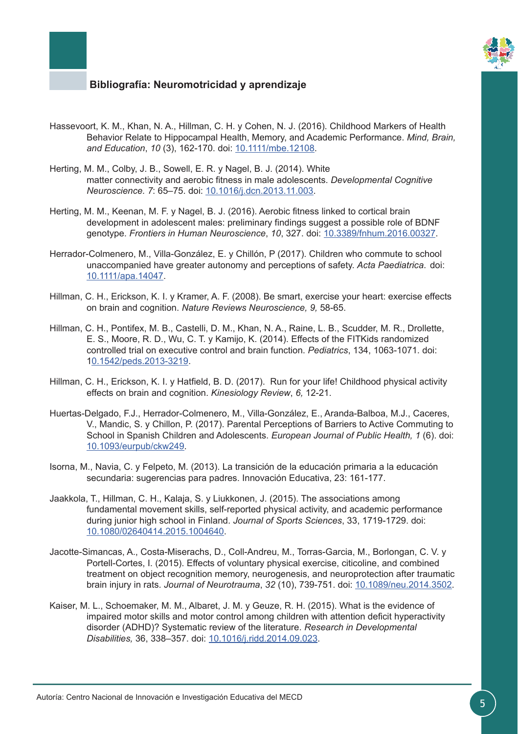

- Hassevoort, K. M., Khan, N. A., Hillman, C. H. y Cohen, N. J. (2016). Childhood Markers of Health Behavior Relate to Hippocampal Health, Memory, and Academic Performance. *Mind, Brain, and Education*, *10* (3), 162-170. doi: [10.1111/mbe.12108.](http://onlinelibrary.wiley.com/doi/10.1111/mbe.12108/abstract)
- Herting, M. M., Colby, J. B., Sowell, E. R. y Nagel, B. J. (2014). White matter connectivity and aerobic fitness in male adolescents. *Developmental Cognitive Neuroscience. 7*: 65–75. doi: [10.1016/j.dcn.2013.11.003.](http://www.sciencedirect.com/science/article/pii/S1878929313000959?via%3Dihub)
- Herting, M. M., Keenan, M. F. y Nagel, B. J. (2016). Aerobic fitness linked to cortical brain development in adolescent males: preliminary findings suggest a possible role of BDNF genotype. *Frontiers in Human Neuroscience*, *10*, 327. doi: [10.3389/fnhum.2016.00327.](https://www.frontiersin.org/articles/10.3389/fnhum.2016.00327/full)
- Herrador-Colmenero, M., Villa-González, E. y Chillón, P (2017). Children who commute to school unaccompanied have greater autonomy and perceptions of safety. *Acta Paediatrica*. doi: [10.1111/apa.14047.](http://onlinelibrary.wiley.com/doi/10.1111/apa.14047/abstract)
- Hillman, C. H., Erickson, K. I. y Kramer, A. F. (2008). Be smart, exercise your heart: exercise effects on brain and cognition. *Nature Reviews Neuroscience, 9,* 58-65.
- Hillman, C. H., Pontifex, M. B., Castelli, D. M., Khan, N. A., Raine, L. B., Scudder, M. R., Drollette, E. S., Moore, R. D., Wu, C. T. y Kamijo, K. (2014). Effects of the FITKids randomized controlled trial on executive control and brain function. *Pediatrics*, 134, 1063-1071. doi: [10.1542/peds.2013-3219](http://pediatrics.aappublications.org/content/134/4/e1063).
- Hillman, C. H., Erickson, K. I. y Hatfield, B. D. (2017). Run for your life! Childhood physical activity effects on brain and cognition. *Kinesiology Review*, *6,* 12-21.
- Huertas-Delgado, F.J., Herrador-Colmenero, M., Villa-González, E., Aranda-Balboa, M.J., Caceres, V., Mandic, S. y Chillon, P. (2017). Parental Perceptions of Barriers to Active Commuting to School in Spanish Children and Adolescents. *European Journal of Public Health, 1* (6). doi: [10.1093/eurpub/ckw249](https://academic.oup.com/eurpub/article-abstract/27/3/416/2929359?redirectedFrom=fulltext).
- Isorna, M., Navia, C. y Felpeto, M. (2013). La transición de la educación primaria a la educación secundaria: sugerencias para padres. Innovación Educativa, 23: 161-177.
- Jaakkola, T., Hillman, C. H., Kalaja, S. y Liukkonen, J. (2015). The associations among fundamental movement skills, self-reported physical activity, and academic performance during junior high school in Finland. *Journal of Sports Sciences*, 33, 1719-1729. doi: [10.1080/02640414.2015.1004640](http://www.tandfonline.com/doi/abs/10.1080/02640414.2015.1004640?journalCode=rjsp20).
- Jacotte-Simancas, A., Costa-Miserachs, D., Coll-Andreu, M., Torras-Garcia, M., Borlongan, C. V. y Portell-Cortes, I. (2015). Effects of voluntary physical exercise, citicoline, and combined treatment on object recognition memory, neurogenesis, and neuroprotection after traumatic brain injury in rats. *Journal of Neurotrauma*, *32* (10), 739-751. doi: [10.1089/neu.2014.3502](http://online.liebertpub.com/doi/10.1089/neu.2014.3502).
- Kaiser, M. L., Schoemaker, M. M., Albaret, J. M. y Geuze, R. H. (2015). What is the evidence of impaired motor skills and motor control among children with attention deficit hyperactivity disorder (ADHD)? Systematic review of the literature. *Research in Developmental Disabilities,* 36, 338–357. doi: [10.1016/j.ridd.2014.09.023](http://www.sciencedirect.com/science/article/pii/S0891422214004132?via%3Dihub).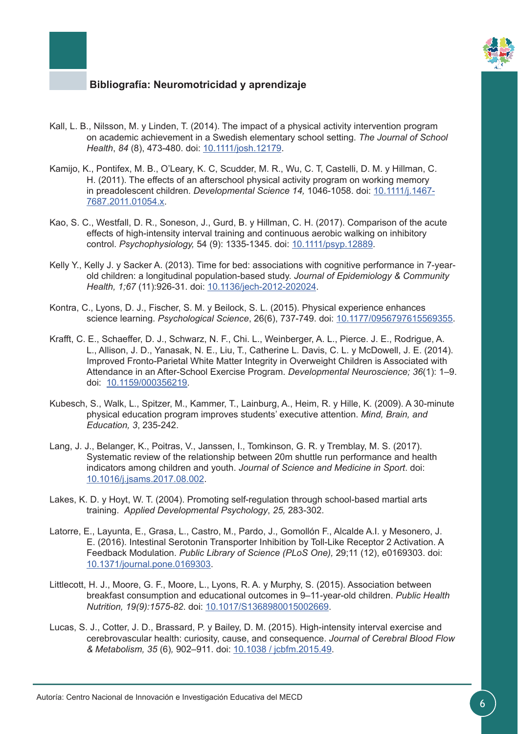

- Kall, L. B., Nilsson, M. y Linden, T. (2014). The impact of a physical activity intervention program on academic achievement in a Swedish elementary school setting. *The Journal of School Health*, *84* (8), 473-480. doi: [10.1111/josh.12179.](http://onlinelibrary.wiley.com/doi/10.1111/josh.12179/abstract)
- Kamijo, K., Pontifex, M. B., O'Leary, K. C, Scudder, M. R., Wu, C. T, Castelli, D. M. y Hillman, C. H. (2011). The effects of an afterschool physical activity program on working memory in preadolescent children. *Developmental Science 14,* 1046-1058. doi: [10.1111/j.1467-](http://onlinelibrary.wiley.com/doi/10.1111/j.1467-7687.2011.01054.x/abstract) [7687.2011.01054.x](http://onlinelibrary.wiley.com/doi/10.1111/j.1467-7687.2011.01054.x/abstract).
- Kao, S. C., Westfall, D. R., Soneson, J., Gurd, B. y Hillman, C. H. (2017). Comparison of the acute effects of high-intensity interval training and continuous aerobic walking on inhibitory control. *Psychophysiology,* 54 (9): 1335-1345. doi: [10.1111/psyp.12889.](http://onlinelibrary.wiley.com/doi/10.1111/psyp.12889/abstract)
- Kelly Y., Kelly J. y Sacker A. (2013). Time for bed: associations with cognitive performance in 7-yearold children: a longitudinal population-based study. *Journal of Epidemiology & Community Health, 1;67* (11):926-31. doi: [10.1136/jech-2012-202024.](http://jech.bmj.com/content/67/11/926)
- Kontra, C., Lyons, D. J., Fischer, S. M. y Beilock, S. L. (2015). Physical experience enhances science learning. *Psychological Science*, 26(6), 737-749. doi: [10.1177/0956797615569355](http://journals.sagepub.com/doi/10.1177/0956797615569355).
- Krafft, C. E., Schaeffer, D. J., Schwarz, N. F., Chi. L., Weinberger, A. L., Pierce. J. E., Rodrigue, A. L., Allison, J. D., Yanasak, N. E., Liu, T., Catherine L. Davis, C. L. y McDowell, J. E. (2014). Improved Fronto-Parietal White Matter Integrity in Overweight Children is Associated with Attendance in an After-School Exercise Program. *Developmental Neuroscience; 36*(1): 1–9. doi: [10.1159/000356219.](https://www.karger.com/Article/FullText/356219)
- Kubesch, S., Walk, L., Spitzer, M., Kammer, T., Lainburg, A., Heim, R. y Hille, K. (2009). A 30-minute physical education program improves students' executive attention. *Mind, Brain, and Education, 3*, 235-242.
- Lang, J. J., Belanger, K., Poitras, V., Janssen, I., Tomkinson, G. R. y Tremblay, M. S. (2017). Systematic review of the relationship between 20m shuttle run performance and health indicators among children and youth. *Journal of Science and Medicine in Sport*. doi: [10.1016/j.jsams.2017.08.002](http://www.jsams.org/article/S1440-2440(17)30990-8/fulltext).
- Lakes, K. D. y Hoyt, W. T. (2004). Promoting self-regulation through school-based martial arts training. *Applied Developmental Psychology*, *25,* 283-302.
- Latorre, E., Layunta, E., Grasa, L., Castro, M., Pardo, J., Gomollón F., Alcalde A.I. y Mesonero, J. E. (2016). Intestinal Serotonin Transporter Inhibition by Toll-Like Receptor 2 Activation. A Feedback Modulation. *Public Library of Science (PLoS One),* 29;11 (12), e0169303. doi: [10.1371/journal.pone.0169303.](http://journals.plos.org/plosone/article?id=10.1371/journal.pone.0169303)
- Littlecott, H. J., Moore, G. F., Moore, L., Lyons, R. A. y Murphy, S. (2015). Association between breakfast consumption and educational outcomes in 9–11-year-old children. *Public Health Nutrition, 19(9):1575-82*. doi: [10.1017/S1368980015002669](https://www.cambridge.org/core/journals/public-health-nutrition/article/association-between-breakfast-consumption-and-educational-outcomes-in-911yearold-children/8174B87D235C67D22C0913F66E1ED6B4).
- Lucas, S. J., Cotter, J. D., Brassard, P. y Bailey, D. M. (2015). High-intensity interval exercise and cerebrovascular health: curiosity, cause, and consequence. *Journal of Cerebral Blood Flow & Metabolism, 35* (6)*,* 902–911. doi: [10.1038 / jcbfm.2015.49.](http://journals.sagepub.com/doi/10.1038/jcbfm.2015.49)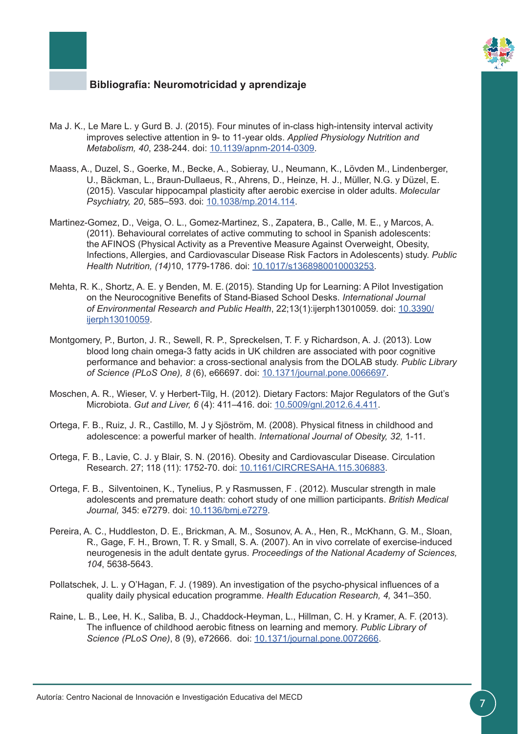

- Ma J. K., Le Mare L. y Gurd B. J. (2015). Four minutes of in-class high-intensity interval activity improves selective attention in 9- to 11-year olds. *Applied Physiology Nutrition and Metabolism, 40*, 238-244. doi: [10.1139/apnm-2014-0309.](http://www.nrcresearchpress.com/doi/10.1139/apnm-2014-0309)
- Maass, A., Duzel, S., Goerke, M., Becke, A., Sobieray, U., Neumann, K., Lövden M., Lindenberger, U., Bäckman, L., Braun-Dullaeus, R., Ahrens, D., Heinze, H. J., Müller, N.G. y Düzel, E. (2015). Vascular hippocampal plasticity after aerobic exercise in older adults. *Molecular Psychiatry, 20*, 585–593. doi: [10.1038/mp.2014.114](https://www.nature.com/articles/mp2014114).
- Martinez-Gomez, D., Veiga, O. L., Gomez-Martinez, S., Zapatera, B., Calle, M. E., y Marcos, A. (2011). Behavioural correlates of active commuting to school in Spanish adolescents: the AFINOS (Physical Activity as a Preventive Measure Against Overweight, Obesity, Infections, Allergies, and Cardiovascular Disease Risk Factors in Adolescents) study. *Public Health Nutrition, (14)*10, 1779-1786. doi: [10.1017/s1368980010003253](https://www.cambridge.org/core/journals/public-health-nutrition/article/behavioural-correlates-of-active-commuting-to-school-in-spanish-adolescents-the-afinos-physical-activity-as-a-preventive-measure-against-overweight-obesity-infections-allergies-and-cardiovascular-disease-risk-factors-in-adolescents-study/BE3FCF370E3B25597750ECB205BC1024).
- Mehta, R. K., Shortz, A. E. y Benden, M. E.(2015). Standing Up for Learning: A Pilot Investigation on the Neurocognitive Benefits of Stand-Biased School Desks. *International Journal of Environmental Research and Public Health*, 22;13(1):ijerph13010059. doi: [10.3390/](http://www.mdpi.com/1660-4601/13/1/59) [ijerph13010059.](http://www.mdpi.com/1660-4601/13/1/59)
- Montgomery, P., Burton, J. R., Sewell, R. P., Spreckelsen, T. F. y Richardson, A. J. (2013). Low blood long chain omega-3 fatty acids in UK children are associated with poor cognitive performance and behavior: a cross-sectional analysis from the DOLAB study. *Public Library of Science (PLoS One), 8* (6), e66697. doi: [10.1371/journal.pone.0066697](http://journals.plos.org/plosone/article?id=10.1371/journal.pone.0066697).
- Moschen, A. R., Wieser, V. y Herbert-Tilg, H. (2012). Dietary Factors: Major Regulators of the Gut's Microbiota. *Gut and Liver, 6* (4): 411–416. doi: [10.5009/gnl.2012.6.4.411](http://www.gutnliver.org/journal/view.html?volume=6&number=4&spage=411&year=2012).
- Ortega, F. B., Ruiz, J. R., Castillo, M. J y Sjöström, M. (2008). Physical fitness in childhood and adolescence: a powerful marker of health. *International Journal of Obesity, 32,* 1-11.
- Ortega, F. B., Lavie, C. J. y Blair, S. N. (2016). Obesity and Cardiovascular Disease. Circulation Research. 27; 118 (11): 1752-70. doi: [10.1161/CIRCRESAHA.115.306883.](http://circres.ahajournals.org/content/118/11/1752)
- Ortega, F. B., Silventoinen, K., Tynelius, P. y Rasmussen, F . (2012). Muscular strength in male adolescents and premature death: cohort study of one million participants. *British Medical Journal,* 345: e7279. doi: [10.1136/bmj.e7279.](http://www.bmj.com/content/345/bmj.e7279)
- Pereira, A. C., Huddleston, D. E., Brickman, A. M., Sosunov, A. A., Hen, R., McKhann, G. M., Sloan, R., Gage, F. H., Brown, T. R. y Small, S. A. (2007). An in vivo correlate of exercise-induced neurogenesis in the adult dentate gyrus. *Proceedings of the National Academy of Sciences, 104*, 5638-5643.
- Pollatschek, J. L. y O'Hagan, F. J. (1989). An investigation of the psycho-physical influences of a quality daily physical education programme. *Health Education Research, 4,* 341–350.
- Raine, L. B., Lee, H. K., Saliba, B. J., Chaddock-Heyman, L., Hillman, C. H. y Kramer, A. F. (2013). The influence of childhood aerobic fitness on learning and memory. *Public Library of Science (PLoS One)*, 8 (9), e72666. doi: [10.1371/journal.pone.0072666](http://journals.plos.org/plosone/article?id=10.1371/journal.pone.0072666).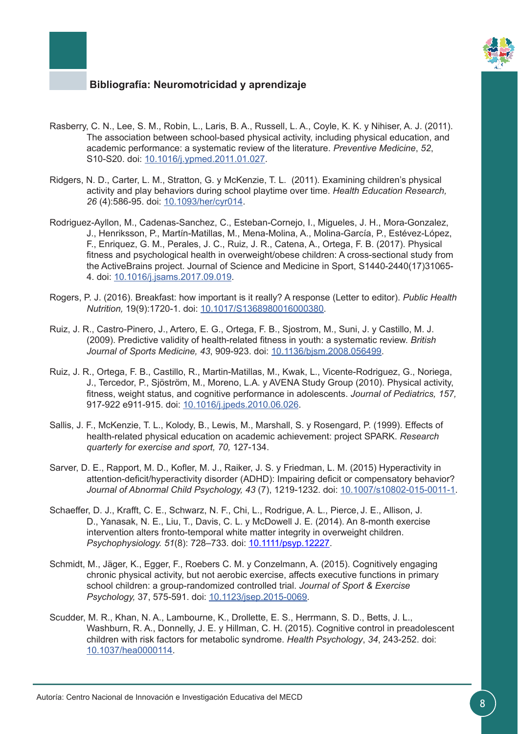

- Rasberry, C. N., Lee, S. M., Robin, L., Laris, B. A., Russell, L. A., Coyle, K. K. y Nihiser, A. J. (2011). The association between school-based physical activity, including physical education, and academic performance: a systematic review of the literature. *Preventive Medicine*, *52*, S10-S20. doi: [10.1016/j.ypmed.2011.01.027](http://linkinghub.elsevier.com/retrieve/pii/S0091743511000557).
- Ridgers, N. D., Carter, L. M., Stratton, G. y McKenzie, T. L. (2011). Examining children's physical activity and play behaviors during school playtime over time. *Health Education Research, 26* (4):586-95. doi: [10.1093/her/cyr014.](https://academic.oup.com/her/article-lookup/doi/10.1093/her/cyr014)
- Rodriguez-Ayllon, M., Cadenas-Sanchez, C., Esteban-Cornejo, I., Migueles, J. H., Mora-Gonzalez, J., Henriksson, P., Martín-Matillas, M., Mena-Molina, A., Molina-García, P., Estévez-López, F., Enriquez, G. M., Perales, J. C., Ruiz, J. R., Catena, A., Ortega, F. B. (2017). Physical fitness and psychological health in overweight/obese children: A cross-sectional study from the ActiveBrains project. Journal of Science and Medicine in Sport, S1440-2440(17)31065- 4. doi: [10.1016/j.jsams.2017.09.019.](http://linkinghub.elsevier.com/retrieve/pii/S1440244017310654)
- Rogers, P. J. (2016). Breakfast: how important is it really? A response (Letter to editor). *Public Health Nutrition,* 19(9):1720-1. doi: [10.1017/S1368980016000380](https://www.cambridge.org/core/journals/public-health-nutrition/article/breakfast-how-important-is-it-really-a-response/886A13F3D65C373A79FE4218B0AA1E44).
- Ruiz, J. R., Castro-Pinero, J., Artero, E. G., Ortega, F. B., Sjostrom, M., Suni, J. y Castillo, M. J. (2009). Predictive validity of health-related fitness in youth: a systematic review. *British Journal of Sports Medicine, 43*, 909-923. doi: [10.1136/bjsm.2008.056499.](http://bjsm.bmj.com/content/43/12/909)
- Ruiz, J. R., Ortega, F. B., Castillo, R., Martin-Matillas, M., Kwak, L., Vicente-Rodriguez, G., Noriega, J., Tercedor, P., Sjöström, M., Moreno, L.A. y AVENA Study Group (2010). Physical activity, fitness, weight status, and cognitive performance in adolescents. *Journal of Pediatrics, 157,* 917-922 e911-915. doi: [10.1016/j.jpeds.2010.06.026.](http://linkinghub.elsevier.com/retrieve/pii/S0022347610005172)
- Sallis, J. F., McKenzie, T. L., Kolody, B., Lewis, M., Marshall, S. y Rosengard, P. (1999). Effects of health-related physical education on academic achievement: project SPARK. *Research quarterly for exercise and sport, 70,* 127-134.
- Sarver, D. E., Rapport, M. D., Kofler, M. J., Raiker, J. S. y Friedman, L. M. (2015) Hyperactivity in attention-deficit/hyperactivity disorder (ADHD): Impairing deficit or compensatory behavior? *Journal of Abnormal Child Psychology, 43* (7), 1219-1232. doi: [10.1007/s10802-015-0011-1](https://link.springer.com/article/10.1007%2Fs10802-015-0011-1).
- Schaeffer, D. J., Krafft, C. E., Schwarz, N. F., Chi, L., Rodrigue, A. L., Pierce, J. E., Allison, J. D., Yanasak, N. E., Liu, T., Davis, C. L. y McDowell J. E. (2014). An 8-month exercise intervention alters fronto-temporal white matter integrity in overweight children. *Psychophysiology. 51*(8): 728–733. doi: [10.1111/psyp.12227](http://onlinelibrary.wiley.com/doi/10.1111/psyp.12227/abstract).
- Schmidt, M., Jäger, K., Egger, F., Roebers C. M. y Conzelmann, A. (2015). Cognitively engaging chronic physical activity, but not aerobic exercise, affects executive functions in primary school children: a group-randomized controlled trial. *Journal of Sport & Exercise Psychology,* 37, 575-591. doi: [10.1123/jsep.2015-0069](http://journals.humankinetics.com/doi/10.1123/jsep.2015-0069).
- Scudder, M. R., Khan, N. A., Lambourne, K., Drollette, E. S., Herrmann, S. D., Betts, J. L., Washburn, R. A., Donnelly, J. E. y Hillman, C. H. (2015). Cognitive control in preadolescent children with risk factors for metabolic syndrome. *Health Psychology*, *34*, 243-252. doi: [10.1037/hea0000114.](http://psycnet.apa.org/doiLanding?doi=10.1037/hea0000114)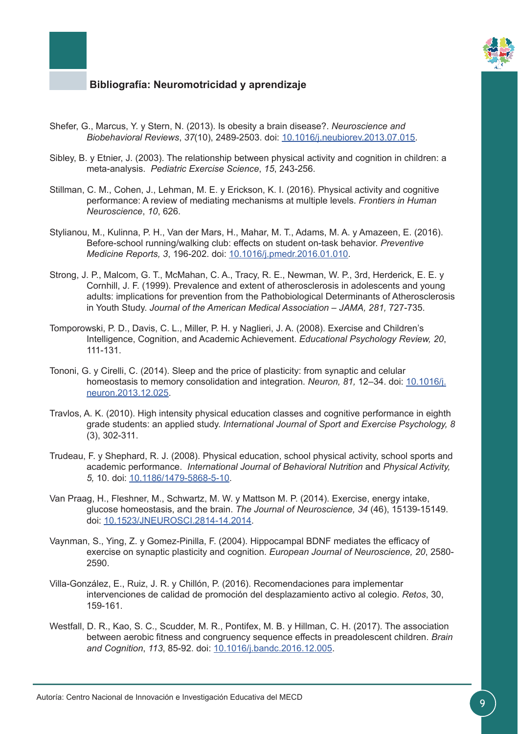

- Shefer, G., Marcus, Y. y Stern, N. (2013). Is obesity a brain disease?. *Neuroscience and Biobehavioral Reviews*, *37*(10), 2489-2503. doi: [10.1016/j.neubiorev.2013.07.015](http://www.sciencedirect.com/science/article/pii/S0149763413001863?via%3Dihub).
- Sibley, B. y Etnier, J. (2003). The relationship between physical activity and cognition in children: a meta-analysis. *Pediatric Exercise Science*, *15*, 243-256.
- Stillman, C. M., Cohen, J., Lehman, M. E. y Erickson, K. I. (2016). Physical activity and cognitive performance: A review of mediating mechanisms at multiple levels. *Frontiers in Human Neuroscience*, *10*, 626.
- Stylianou, M., Kulinna, P. H., Van der Mars, H., Mahar, M. T., Adams, M. A. y Amazeen, E. (2016). Before-school running/walking club: effects on student on-task behavior. *Preventive Medicine Reports, 3*, 196-202. doi: [10.1016/j.pmedr.2016.01.010](http://www.sciencedirect.com/science/article/pii/S2211335516000139?via%3Dihub).
- Strong, J. P., Malcom, G. T., McMahan, C. A., Tracy, R. E., Newman, W. P., 3rd, Herderick, E. E. y Cornhill, J. F. (1999). Prevalence and extent of atherosclerosis in adolescents and young adults: implications for prevention from the Pathobiological Determinants of Atherosclerosis in Youth Study. *Journal of the American Medical Association – JAMA, 281,* 727-735.
- Tomporowski, P. D., Davis, C. L., Miller, P. H. y Naglieri, J. A. (2008). Exercise and Children's Intelligence, Cognition, and Academic Achievement. *Educational Psychology Review, 20*, 111-131.
- Tononi, G. y Cirelli, C. (2014). Sleep and the price of plasticity: from synaptic and celular homeostasis to memory consolidation and integration. *Neuron, 81,* 12–34. doi: [10.1016/j.](http://linkinghub.elsevier.com/retrieve/pii/S0896627313011860) [neuron.2013.12.025](http://linkinghub.elsevier.com/retrieve/pii/S0896627313011860).
- Travlos, A. K. (2010). High intensity physical education classes and cognitive performance in eighth grade students: an applied study. *International Journal of Sport and Exercise Psychology, 8*  (3), 302-311.
- Trudeau, F. y Shephard, R. J. (2008). Physical education, school physical activity, school sports and academic performance. *International Journal of Behavioral Nutrition* and *Physical Activity, 5,* 10. doi: [10.1186/1479-5868-5-10](https://ijbnpa.biomedcentral.com/articles/10.1186/1479-5868-5-10).
- Van Praag, H., Fleshner, M., Schwartz, M. W. y Mattson M. P. (2014). Exercise, energy intake, glucose homeostasis, and the brain. *The Journal of Neuroscience, 34* (46), 15139-15149. doi: [10.1523/JNEUROSCI.2814-14.2014](http://www.jneurosci.org/content/34/46/15139).
- Vaynman, S., Ying, Z. y Gomez-Pinilla, F. (2004). Hippocampal BDNF mediates the efficacy of exercise on synaptic plasticity and cognition. *European Journal of Neuroscience, 20*, 2580- 2590.
- Villa-González, E., Ruiz, J. R. y Chillón, P. (2016). Recomendaciones para implementar intervenciones de calidad de promoción del desplazamiento activo al colegio. *Retos*, 30, 159-161.
- Westfall, D. R., Kao, S. C., Scudder, M. R., Pontifex, M. B. y Hillman, C. H. (2017). The association between aerobic fitness and congruency sequence effects in preadolescent children. *Brain and Cognition*, *113*, 85-92. doi: [10.1016/j.bandc.2016.12.005](http://www.sciencedirect.com/science/article/pii/S027826261630094X?via%3Dihub).